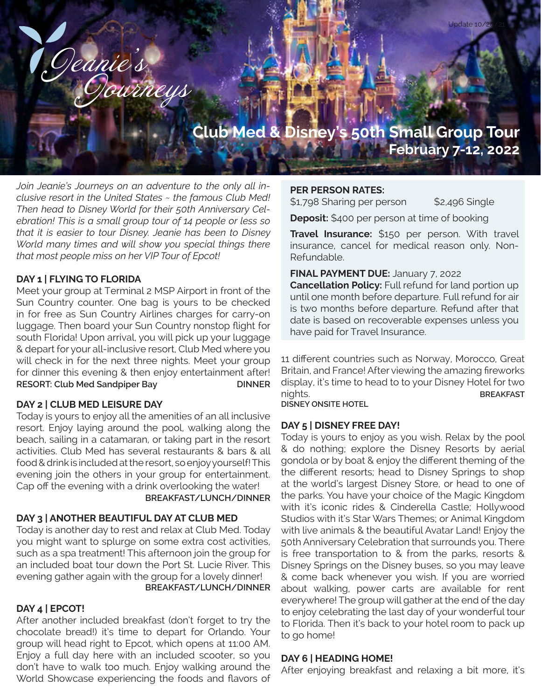# **Club Med & Disney's 50th Small Group Tour February 7-12, 2022**

*Join Jeanie's Journeys on an adventure to the only all inclusive resort in the United States ~ the famous Club Med! Then head to Disney World for their 50th Anniversary Celebration! This is a small group tour of 14 people or less so that it is easier to tour Disney. Jeanie has been to Disney World many times and will show you special things there that most people miss on her VIP Tour of Epcot!*

Geanie's

#### **DAY 1 | FLYING TO FLORIDA**

Meet your group at Terminal 2 MSP Airport in front of the Sun Country counter. One bag is yours to be checked in for free as Sun Country Airlines charges for carry-on luggage. Then board your Sun Country nonstop flight for south Florida! Upon arrival, you will pick up your luggage & depart for your all-inclusive resort, Club Med where you will check in for the next three nights. Meet your group for dinner this evening & then enjoy entertainment after! **RESORT: Club Med Sandpiper Bay DINNER** 

#### **DAY 2 | CLUB MED LEISURE DAY**

Today is yours to enjoy all the amenities of an all inclusive resort. Enjoy laying around the pool, walking along the beach, sailing in a catamaran, or taking part in the resort activities. Club Med has several restaurants & bars & all food & drink is included at the resort, so enjoy yourself! This evening join the others in your group for entertainment. Cap off the evening with a drink overlooking the water!  **BREAKFAST/LUNCH/DINNER** 

#### **DAY 3 | ANOTHER BEAUTIFUL DAY AT CLUB MED**

Today is another day to rest and relax at Club Med. Today you might want to splurge on some extra cost activities, such as a spa treatment! This afternoon join the group for an included boat tour down the Port St. Lucie River. This evening gather again with the group for a lovely dinner!  **BREAKFAST/LUNCH/DINNER** 

## **DAY 4 | EPCOT!**

After another included breakfast (don't forget to try the chocolate bread!) it's time to depart for Orlando. Your group will head right to Epcot, which opens at 11:00 AM. Enjoy a full day here with an included scooter, so you don't have to walk too much. Enjoy walking around the World Showcase experiencing the foods and flavors of

#### **PER PERSON RATES:**

\$1,798 Sharing per person \$2,496 Single

**Deposit:** \$400 per person at time of booking

**Travel Insurance:** \$150 per person. With travel insurance, cancel for medical reason only. Non-Refundable.

**FINAL PAYMENT DUE:** January 7, 2022

**Cancellation Policy:** Full refund for land portion up until one month before departure. Full refund for air is two months before departure. Refund after that date is based on recoverable expenses unless you have paid for Travel Insurance.

11 different countries such as Norway, Morocco, Great Britain, and France! After viewing the amazing fireworks display, it's time to head to to your Disney Hotel for two nights. **BREAKFAST** 

**DISNEY ONSITE HOTEL**

#### **DAY 5 | DISNEY FREE DAY!**

Today is yours to enjoy as you wish. Relax by the pool & do nothing; explore the Disney Resorts by aerial gondola or by boat & enjoy the different theming of the the different resorts; head to Disney Springs to shop at the world's largest Disney Store, or head to one of the parks. You have your choice of the Magic Kingdom with it's iconic rides & Cinderella Castle; Hollywood Studios with it's Star Wars Themes; or Animal Kingdom with live animals & the beautiful Avatar Land! Enjoy the 50th Anniversary Celebration that surrounds you. There is free transportation to & from the parks, resorts & Disney Springs on the Disney buses, so you may leave & come back whenever you wish. If you are worried about walking, power carts are available for rent everywhere! The group will gather at the end of the day to enjoy celebrating the last day of your wonderful tour to Florida. Then it's back to your hotel room to pack up to go home!

#### **DAY 6 | HEADING HOME!**

After enjoying breakfast and relaxing a bit more, it's